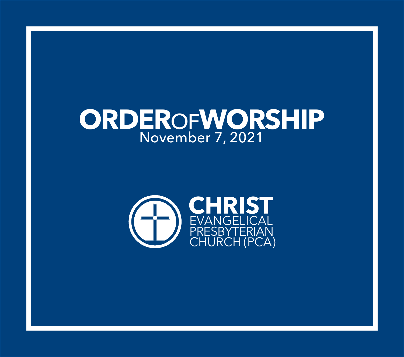# **ORDER**OF**WORSHIP** November 7, 2021

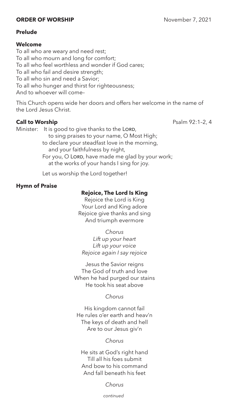# **ORDER OF WORSHIP** November 7, 2021

# **Prelude**

# **Welcome**

To all who are weary and need rest; To all who mourn and long for comfort; To all who feel worthless and wonder if God cares; To all who fail and desire strength; To all who sin and need a Savior; To all who hunger and thirst for righteousness; And to whoever will come–

This Church opens wide her doors and offers her welcome in the name of the Lord Jesus Christ.

# **Call to Worship** Psalm 92:1-2, 4

Minister: It is good to give thanks to the LORD, to sing praises to your name, O Most High; to declare your steadfast love in the morning, and your faithfulness by night, For you, O LORD, have made me glad by your work;

at the works of your hands I sing for joy.

Let us worship the Lord together!

# **Hymn of Praise**

# **Rejoice, The Lord Is King**

Rejoice the Lord is King Your Lord and King adore Rejoice give thanks and sing And triumph evermore

*Chorus Lift up your heart Lift up your voice Rejoice again I say rejoice*

Jesus the Savior reigns The God of truth and love When he had purged our stains He took his seat above

### *Chorus*

His kingdom cannot fail He rules o'er earth and heav'n The keys of death and hell Are to our Jesus giv'n

# *Chorus*

He sits at God's right hand Till all his foes submit And bow to his command And fall beneath his feet

*Chorus*

*continued*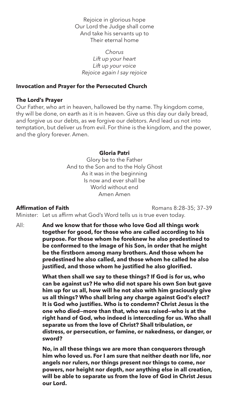Rejoice in glorious hope Our Lord the Judge shall come And take his servants up to Their eternal home

*Chorus Lift up your heart Lift up your voice Rejoice again I say rejoice*

# **Invocation and Prayer for the Persecuted Church**

#### **The Lord's Prayer**

Our Father, who art in heaven, hallowed be thy name. Thy kingdom come, thy will be done, on earth as it is in heaven. Give us this day our daily bread, and forgive us our debts, as we forgive our debtors. And lead us not into temptation, but deliver us from evil. For thine is the kingdom, and the power, and the glory forever. Amen.

#### **Gloria Patri**

Glory be to the Father And to the Son and to the Holy Ghost As it was in the beginning Is now and ever shall be World without end Amen Amen

Affirmation of Faith **Affirmation of Faith Romans 8:28-35; 37-39** 

Minister: Let us affirm what God's Word tells us is true even today.

All: **And we know that for those who love God all things work together for good, for those who are called according to his purpose. For those whom he foreknew he also predestined to be conformed to the image of his Son, in order that he might be the firstborn among many brothers. And those whom he predestined he also called, and those whom he called he also justified, and those whom he justified he also glorified.**

> **What then shall we say to these things? If God is for us, who can be against us? He who did not spare his own Son but gave him up for us all, how will he not also with him graciously give us all things? Who shall bring any charge against God's elect? It is God who justifies. Who is to condemn? Christ Jesus is the one who died—more than that, who was raised—who is at the right hand of God, who indeed is interceding for us. Who shall separate us from the love of Christ? Shall tribulation, or distress, or persecution, or famine, or nakedness, or danger, or sword?**

> **No, in all these things we are more than conquerors through him who loved us. For I am sure that neither death nor life, nor angels nor rulers, nor things present nor things to come, nor powers, nor height nor depth, nor anything else in all creation, will be able to separate us from the love of God in Christ Jesus our Lord.**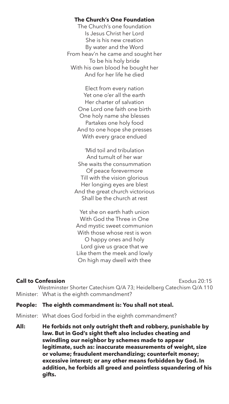### **The Church's One Foundation**

The Church's one foundation Is Jesus Christ her Lord She is his new creation By water and the Word From heav'n he came and sought her To be his holy bride With his own blood he bought her And for her life he died

> Elect from every nation Yet one o'er all the earth Her charter of salvation One Lord one faith one birth One holy name she blesses Partakes one holy food And to one hope she presses With every grace endued

'Mid toil and tribulation And tumult of her war She waits the consummation Of peace forevermore Till with the vision glorious Her longing eyes are blest And the great church victorious Shall be the church at rest

Yet she on earth hath union With God the Three in One And mystic sweet communion With those whose rest is won O happy ones and holy Lord give us grace that we Like them the meek and lowly On high may dwell with thee

**Call to Confession Exodus 20:15** Westminster Shorter Catechism Q/A 73; Heidelberg Catechism Q/A 110

Minister: What is the eighth commandment?

### **People: The eighth commandment is: You shall not steal.**

Minister: What does God forbid in the eighth commandment?

**All: He forbids not only outright theft and robbery, punishable by law. But in God's sight theft also includes cheating and swindling our neighbor by schemes made to appear legitimate, such as: inaccurate measurements of weight, size or volume; fraudulent merchandizing; counterfeit money; excessive interest; or any other means forbidden by God. In addition, he forbids all greed and pointless squandering of his gifts.**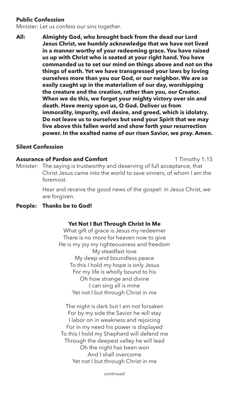# **Public Confession**

Minister: Let us confess our sins together.

**All: Almighty God, who brought back from the dead our Lord Jesus Christ, we humbly acknowledge that we have not lived in a manner worthy of your redeeming grace. You have raised us up with Christ who is seated at your right hand. You have commanded us to set our mind on things above and not on the things of earth. Yet we have transgressed your laws by loving ourselves more than you our God, or our neighbor. We are so easily caught up in the materialism of our day, worshipping the creature and the creation, rather than you, our Creator. When we do this, we forget your mighty victory over sin and death. Have mercy upon us, O God. Deliver us from immorality, impurity, evil desire, and greed, which is idolatry. Do not leave us to ourselves but send your Spirit that we may live above this fallen world and show forth your resurrection power. In the exalted name of our risen Savior, we pray. Amen.**

# **Silent Confession**

**Assurance of Pardon and Comfort** 1 Timothy 1:15 Minister: The saying is trustworthy and deserving of full acceptance, that Christ Jesus came into the world to save sinners, of whom I am the foremost.

> Hear and receive the good news of the gospel: in Jesus Christ, we are forgiven.

### **People: Thanks be to God!**

### **Yet Not I But Through Christ In Me**

What gift of grace is Jesus my redeemer There is no more for heaven now to give He is my joy my righteousness and freedom My steadfast love My deep and boundless peace To this I hold my hope is only Jesus For my life is wholly bound to his Oh how strange and divine I can sing all is mine Yet not I but through Christ in me

The night is dark but I am not forsaken For by my side the Savior he will stay I labor on in weakness and rejoicing For in my need his power is displayed To this I hold my Shepherd will defend me Through the deepest valley he will lead Oh the night has been won And I shall overcome Yet not I but through Christ in me

*continued*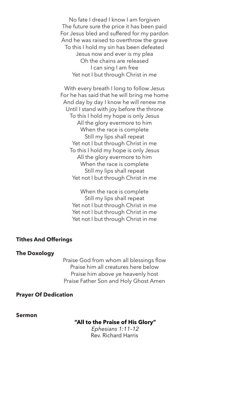No fate I dread I know I am forgiven The future sure the price it has been paid For Jesus bled and suffered for my pardon And he was raised to overthrow the grave To this I hold my sin has been defeated Jesus now and ever is my plea Oh the chains are released I can sing I am free Yet not I but through Christ in me

With every breath I long to follow Jesus For he has said that he will bring me home And day by day I know he will renew me Until I stand with joy before the throne To this I hold my hope is only Jesus All the glory evermore to him When the race is complete Still my lips shall repeat Yet not I but through Christ in me To this I hold my hope is only Jesus All the glory evermore to him When the race is complete Still my lips shall repeat Yet not I but through Christ in me

> When the race is complete Still my lips shall repeat Yet not I but through Christ in me Yet not I but through Christ in me Yet not I but through Christ in me

#### **Tithes And Offerings**

# **The Doxology**

Praise God from whom all blessings flow Praise him all creatures here below Praise him above ye heavenly host Praise Father Son and Holy Ghost Amen

#### **Prayer Of Dedication**

#### **Sermon**

#### **"All to the Praise of His Glory"**

*Ephesians 1:11–12* Rev. Richard Harris